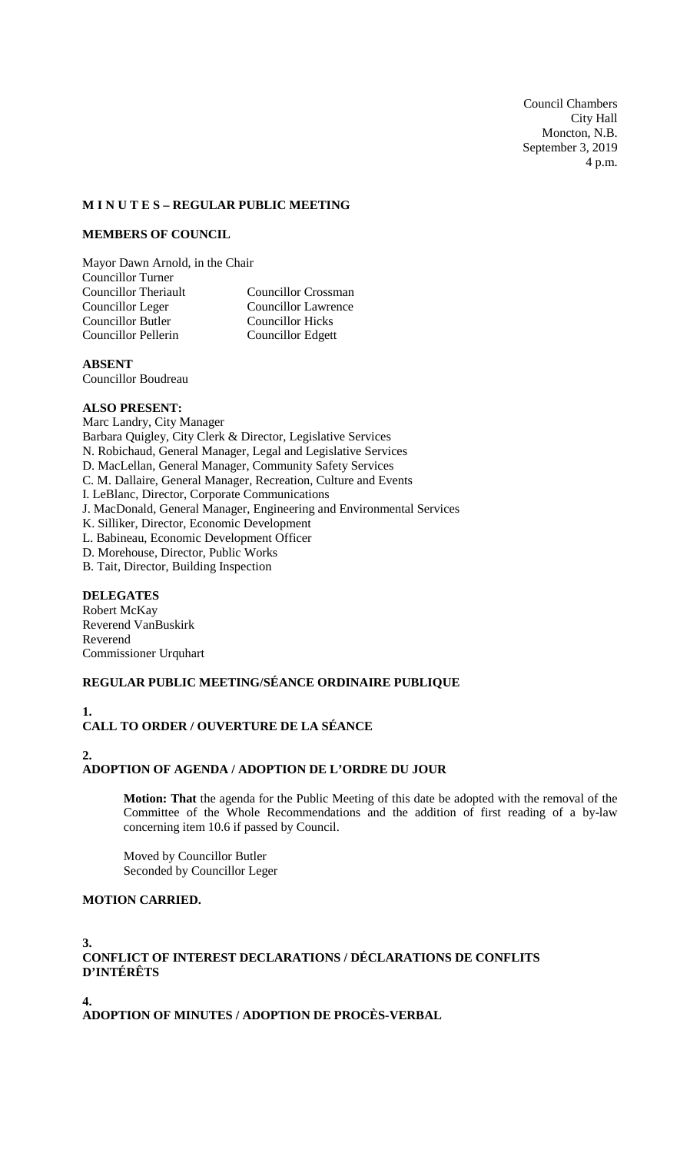Council Chambers City Hall Moncton, N.B. September 3, 2019 4 p.m.

### **M I N U T E S – REGULAR PUBLIC MEETING**

### **MEMBERS OF COUNCIL**

Mayor Dawn Arnold, in the Chair **Councillor Turner<br>Councillor Theriault** Councillor Crossman Councillor Leger<br>
Councillor Butler<br>
Councillor Hicks<br>
Councillor Hicks Councillor Butler Councillor Pellerin Councillor Edgett

**ABSENT**

Councillor Boudreau

#### **ALSO PRESENT:**

Marc Landry, City Manager Barbara Quigley, City Clerk & Director, Legislative Services N. Robichaud, General Manager, Legal and Legislative Services D. MacLellan, General Manager, Community Safety Services C. M. Dallaire, General Manager, Recreation, Culture and Events I. LeBlanc, Director, Corporate Communications J. MacDonald, General Manager, Engineering and Environmental Services K. Silliker, Director, Economic Development L. Babineau, Economic Development Officer D. Morehouse, Director, Public Works B. Tait, Director, Building Inspection

# **DELEGATES**

Robert McKay Reverend VanBuskirk Reverend Commissioner Urquhart

### **REGULAR PUBLIC MEETING/SÉANCE ORDINAIRE PUBLIQUE**

**1. CALL TO ORDER / OUVERTURE DE LA SÉANCE**

## **2. ADOPTION OF AGENDA / ADOPTION DE L'ORDRE DU JOUR**

**Motion: That** the agenda for the Public Meeting of this date be adopted with the removal of the Committee of the Whole Recommendations and the addition of first reading of a by-law concerning item 10.6 if passed by Council.

Moved by Councillor Butler Seconded by Councillor Leger

# **MOTION CARRIED.**

#### **3. CONFLICT OF INTEREST DECLARATIONS / DÉCLARATIONS DE CONFLITS D'INTÉRÊTS**

**4. ADOPTION OF MINUTES / ADOPTION DE PROCÈS-VERBAL**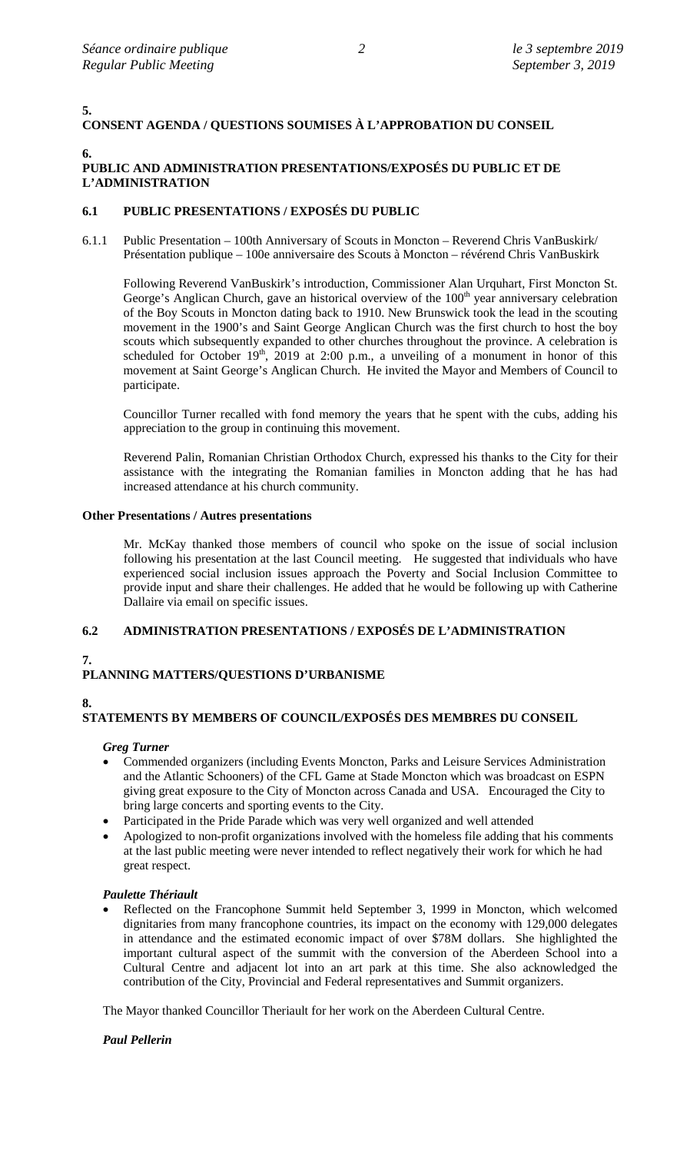**5.**

# **CONSENT AGENDA / QUESTIONS SOUMISES À L'APPROBATION DU CONSEIL**

**6.**

# **PUBLIC AND ADMINISTRATION PRESENTATIONS/EXPOSÉS DU PUBLIC ET DE L'ADMINISTRATION**

# **6.1 PUBLIC PRESENTATIONS / EXPOSÉS DU PUBLIC**

6.1.1 Public Presentation – 100th Anniversary of Scouts in Moncton – Reverend Chris VanBuskirk/ Présentation publique – 100e anniversaire des Scouts à Moncton – révérend Chris VanBuskirk

Following Reverend VanBuskirk's introduction, Commissioner Alan Urquhart, First Moncton St. George's Anglican Church, gave an historical overview of the 100<sup>th</sup> year anniversary celebration of the Boy Scouts in Moncton dating back to 1910. New Brunswick took the lead in the scouting movement in the 1900's and Saint George Anglican Church was the first church to host the boy scouts which subsequently expanded to other churches throughout the province. A celebration is scheduled for October  $19<sup>th</sup>$ ,  $2019$  at 2:00 p.m., a unveiling of a monument in honor of this movement at Saint George's Anglican Church. He invited the Mayor and Members of Council to participate.

Councillor Turner recalled with fond memory the years that he spent with the cubs, adding his appreciation to the group in continuing this movement.

Reverend Palin, Romanian Christian Orthodox Church, expressed his thanks to the City for their assistance with the integrating the Romanian families in Moncton adding that he has had increased attendance at his church community.

## **Other Presentations / Autres presentations**

Mr. McKay thanked those members of council who spoke on the issue of social inclusion following his presentation at the last Council meeting. He suggested that individuals who have experienced social inclusion issues approach the Poverty and Social Inclusion Committee to provide input and share their challenges. He added that he would be following up with Catherine Dallaire via email on specific issues.

# **6.2 ADMINISTRATION PRESENTATIONS / EXPOSÉS DE L'ADMINISTRATION**

# **7.**

# **PLANNING MATTERS/QUESTIONS D'URBANISME**

# **8.**

# **STATEMENTS BY MEMBERS OF COUNCIL/EXPOSÉS DES MEMBRES DU CONSEIL**

# *Greg Turner*

- Commended organizers (including Events Moncton, Parks and Leisure Services Administration and the Atlantic Schooners) of the CFL Game at Stade Moncton which was broadcast on ESPN giving great exposure to the City of Moncton across Canada and USA. Encouraged the City to bring large concerts and sporting events to the City.
- Participated in the Pride Parade which was very well organized and well attended
- Apologized to non-profit organizations involved with the homeless file adding that his comments at the last public meeting were never intended to reflect negatively their work for which he had great respect.

### *Paulette Thériault*

Reflected on the Francophone Summit held September 3, 1999 in Moncton, which welcomed dignitaries from many francophone countries, its impact on the economy with 129,000 delegates in attendance and the estimated economic impact of over \$78M dollars. She highlighted the important cultural aspect of the summit with the conversion of the Aberdeen School into a Cultural Centre and adjacent lot into an art park at this time. She also acknowledged the contribution of the City, Provincial and Federal representatives and Summit organizers.

The Mayor thanked Councillor Theriault for her work on the Aberdeen Cultural Centre.

# *Paul Pellerin*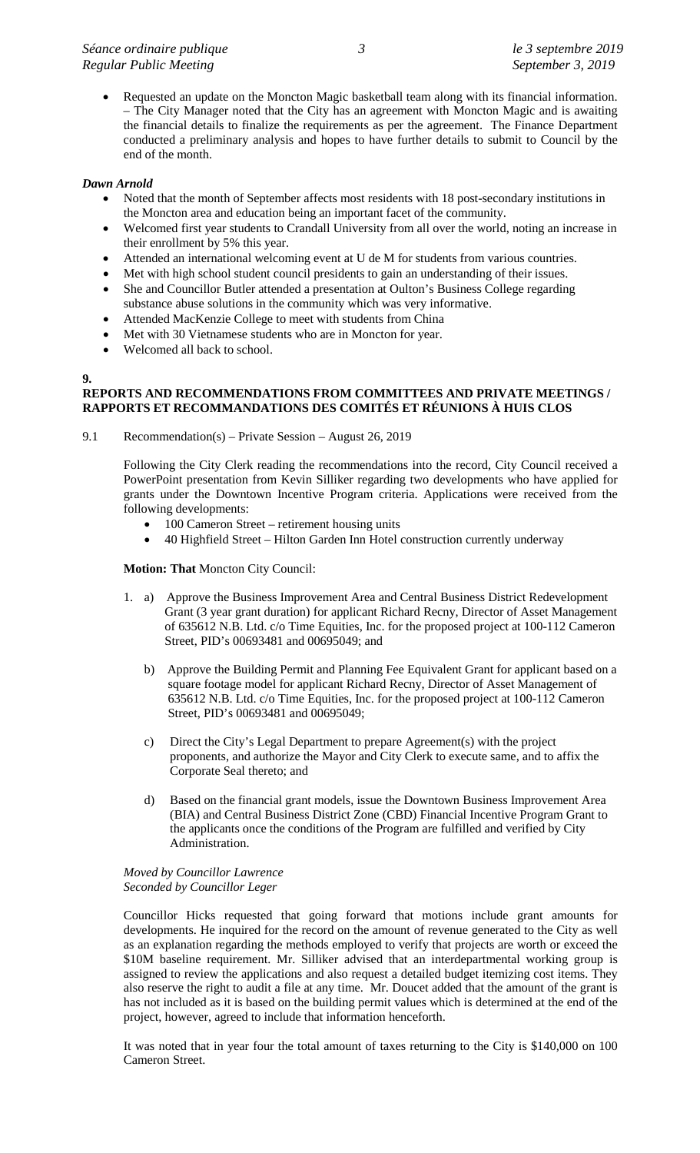• Requested an update on the Moncton Magic basketball team along with its financial information. – The City Manager noted that the City has an agreement with Moncton Magic and is awaiting the financial details to finalize the requirements as per the agreement. The Finance Department conducted a preliminary analysis and hopes to have further details to submit to Council by the end of the month.

### *Dawn Arnold*

**9.**

- Noted that the month of September affects most residents with 18 post-secondary institutions in the Moncton area and education being an important facet of the community.
- Welcomed first year students to Crandall University from all over the world, noting an increase in their enrollment by 5% this year.
- Attended an international welcoming event at U de M for students from various countries.
- Met with high school student council presidents to gain an understanding of their issues.
- She and Councillor Butler attended a presentation at Oulton's Business College regarding substance abuse solutions in the community which was very informative.
- Attended MacKenzie College to meet with students from China
- Met with 30 Vietnamese students who are in Moncton for year.
- Welcomed all back to school.

# **REPORTS AND RECOMMENDATIONS FROM COMMITTEES AND PRIVATE MEETINGS / RAPPORTS ET RECOMMANDATIONS DES COMITÉS ET RÉUNIONS À HUIS CLOS**

9.1 Recommendation(s) – Private Session – August 26, 2019

Following the City Clerk reading the recommendations into the record, City Council received a PowerPoint presentation from Kevin Silliker regarding two developments who have applied for grants under the Downtown Incentive Program criteria. Applications were received from the following developments:

- 100 Cameron Street retirement housing units
- 40 Highfield Street Hilton Garden Inn Hotel construction currently underway

## **Motion: That** Moncton City Council:

- 1. a) Approve the Business Improvement Area and Central Business District Redevelopment Grant (3 year grant duration) for applicant Richard Recny, Director of Asset Management of 635612 N.B. Ltd. c/o Time Equities, Inc. for the proposed project at 100-112 Cameron Street, PID's 00693481 and 00695049; and
	- b) Approve the Building Permit and Planning Fee Equivalent Grant for applicant based on a square footage model for applicant Richard Recny, Director of Asset Management of 635612 N.B. Ltd. c/o Time Equities, Inc. for the proposed project at 100-112 Cameron Street, PID's 00693481 and 00695049;
	- c) Direct the City's Legal Department to prepare Agreement(s) with the project proponents, and authorize the Mayor and City Clerk to execute same, and to affix the Corporate Seal thereto; and
	- d) Based on the financial grant models, issue the Downtown Business Improvement Area (BIA) and Central Business District Zone (CBD) Financial Incentive Program Grant to the applicants once the conditions of the Program are fulfilled and verified by City Administration.

#### *Moved by Councillor Lawrence Seconded by Councillor Leger*

Councillor Hicks requested that going forward that motions include grant amounts for developments. He inquired for the record on the amount of revenue generated to the City as well as an explanation regarding the methods employed to verify that projects are worth or exceed the \$10M baseline requirement. Mr. Silliker advised that an interdepartmental working group is assigned to review the applications and also request a detailed budget itemizing cost items. They also reserve the right to audit a file at any time. Mr. Doucet added that the amount of the grant is has not included as it is based on the building permit values which is determined at the end of the project, however, agreed to include that information henceforth.

It was noted that in year four the total amount of taxes returning to the City is \$140,000 on 100 Cameron Street.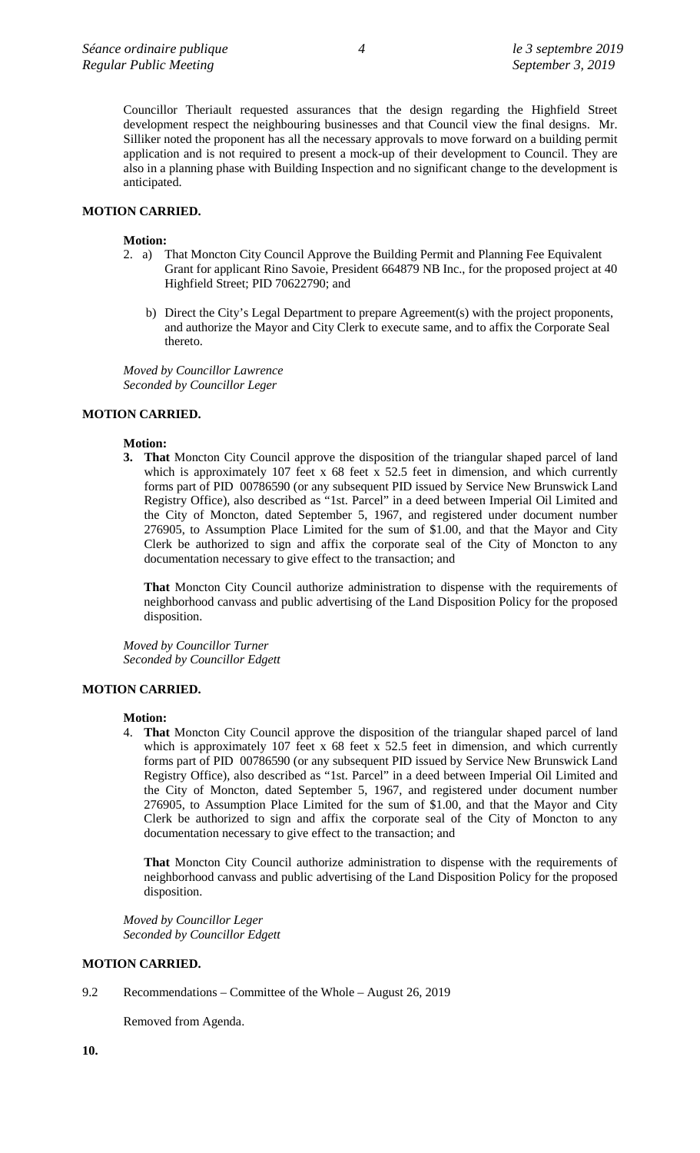Councillor Theriault requested assurances that the design regarding the Highfield Street development respect the neighbouring businesses and that Council view the final designs. Mr. Silliker noted the proponent has all the necessary approvals to move forward on a building permit application and is not required to present a mock-up of their development to Council. They are also in a planning phase with Building Inspection and no significant change to the development is anticipated.

# **MOTION CARRIED.**

#### **Motion:**

- 2. a) That Moncton City Council Approve the Building Permit and Planning Fee Equivalent Grant for applicant Rino Savoie, President 664879 NB Inc., for the proposed project at 40 Highfield Street; PID 70622790; and
	- b) Direct the City's Legal Department to prepare Agreement(s) with the project proponents, and authorize the Mayor and City Clerk to execute same, and to affix the Corporate Seal thereto.

*Moved by Councillor Lawrence Seconded by Councillor Leger*

### **MOTION CARRIED.**

#### **Motion:**

**3. That** Moncton City Council approve the disposition of the triangular shaped parcel of land which is approximately 107 feet x 68 feet x 52.5 feet in dimension, and which currently forms part of PID 00786590 (or any subsequent PID issued by Service New Brunswick Land Registry Office), also described as "1st. Parcel" in a deed between Imperial Oil Limited and the City of Moncton, dated September 5, 1967, and registered under document number 276905, to Assumption Place Limited for the sum of \$1.00, and that the Mayor and City Clerk be authorized to sign and affix the corporate seal of the City of Moncton to any documentation necessary to give effect to the transaction; and

**That** Moncton City Council authorize administration to dispense with the requirements of neighborhood canvass and public advertising of the Land Disposition Policy for the proposed disposition.

*Moved by Councillor Turner Seconded by Councillor Edgett*

# **MOTION CARRIED.**

#### **Motion:**

4. **That** Moncton City Council approve the disposition of the triangular shaped parcel of land which is approximately 107 feet x 68 feet x 52.5 feet in dimension, and which currently forms part of PID 00786590 (or any subsequent PID issued by Service New Brunswick Land Registry Office), also described as "1st. Parcel" in a deed between Imperial Oil Limited and the City of Moncton, dated September 5, 1967, and registered under document number 276905, to Assumption Place Limited for the sum of \$1.00, and that the Mayor and City Clerk be authorized to sign and affix the corporate seal of the City of Moncton to any documentation necessary to give effect to the transaction; and

**That** Moncton City Council authorize administration to dispense with the requirements of neighborhood canvass and public advertising of the Land Disposition Policy for the proposed disposition.

*Moved by Councillor Leger Seconded by Councillor Edgett*

#### **MOTION CARRIED.**

9.2 Recommendations – Committee of the Whole – August 26, 2019

Removed from Agenda.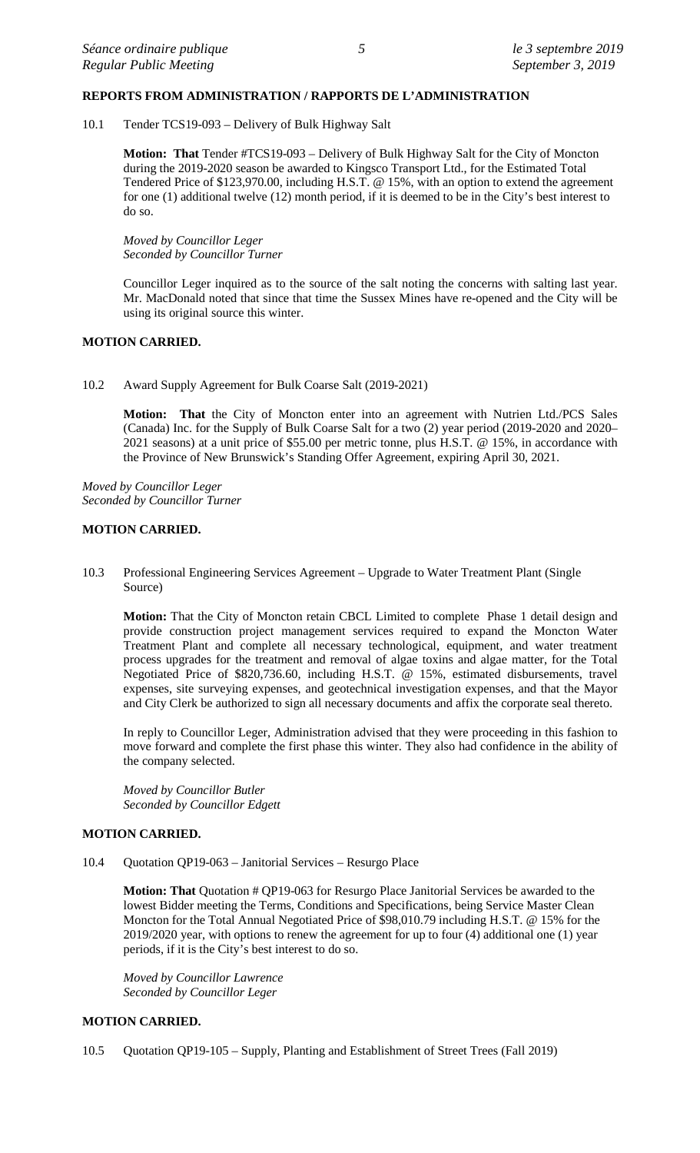### **REPORTS FROM ADMINISTRATION / RAPPORTS DE L'ADMINISTRATION**

10.1 Tender TCS19-093 – Delivery of Bulk Highway Salt

**Motion: That** Tender #TCS19-093 – Delivery of Bulk Highway Salt for the City of Moncton during the 2019-2020 season be awarded to Kingsco Transport Ltd., for the Estimated Total Tendered Price of \$123,970.00, including H.S.T. @ 15%, with an option to extend the agreement for one (1) additional twelve (12) month period, if it is deemed to be in the City's best interest to do so.

*Moved by Councillor Leger Seconded by Councillor Turner*

Councillor Leger inquired as to the source of the salt noting the concerns with salting last year. Mr. MacDonald noted that since that time the Sussex Mines have re-opened and the City will be using its original source this winter.

#### **MOTION CARRIED.**

10.2 Award Supply Agreement for Bulk Coarse Salt (2019-2021)

**Motion: That** the City of Moncton enter into an agreement with Nutrien Ltd./PCS Sales (Canada) Inc. for the Supply of Bulk Coarse Salt for a two (2) year period (2019-2020 and 2020– 2021 seasons) at a unit price of \$55.00 per metric tonne, plus H.S.T. @ 15%, in accordance with the Province of New Brunswick's Standing Offer Agreement, expiring April 30, 2021.

*Moved by Councillor Leger Seconded by Councillor Turner*

### **MOTION CARRIED.**

10.3 Professional Engineering Services Agreement – Upgrade to Water Treatment Plant (Single Source)

**Motion:** That the City of Moncton retain CBCL Limited to complete Phase 1 detail design and provide construction project management services required to expand the Moncton Water Treatment Plant and complete all necessary technological, equipment, and water treatment process upgrades for the treatment and removal of algae toxins and algae matter, for the Total Negotiated Price of \$820,736.60, including H.S.T. @ 15%, estimated disbursements, travel expenses, site surveying expenses, and geotechnical investigation expenses, and that the Mayor and City Clerk be authorized to sign all necessary documents and affix the corporate seal thereto.

In reply to Councillor Leger, Administration advised that they were proceeding in this fashion to move forward and complete the first phase this winter. They also had confidence in the ability of the company selected.

*Moved by Councillor Butler Seconded by Councillor Edgett*

#### **MOTION CARRIED.**

10.4 Quotation QP19-063 – Janitorial Services – Resurgo Place

**Motion: That** Quotation # QP19-063 for Resurgo Place Janitorial Services be awarded to the lowest Bidder meeting the Terms, Conditions and Specifications, being Service Master Clean Moncton for the Total Annual Negotiated Price of \$98,010.79 including H.S.T. @ 15% for the 2019/2020 year, with options to renew the agreement for up to four (4) additional one (1) year periods, if it is the City's best interest to do so.

*Moved by Councillor Lawrence Seconded by Councillor Leger*

### **MOTION CARRIED.**

10.5 Quotation QP19-105 – Supply, Planting and Establishment of Street Trees (Fall 2019)